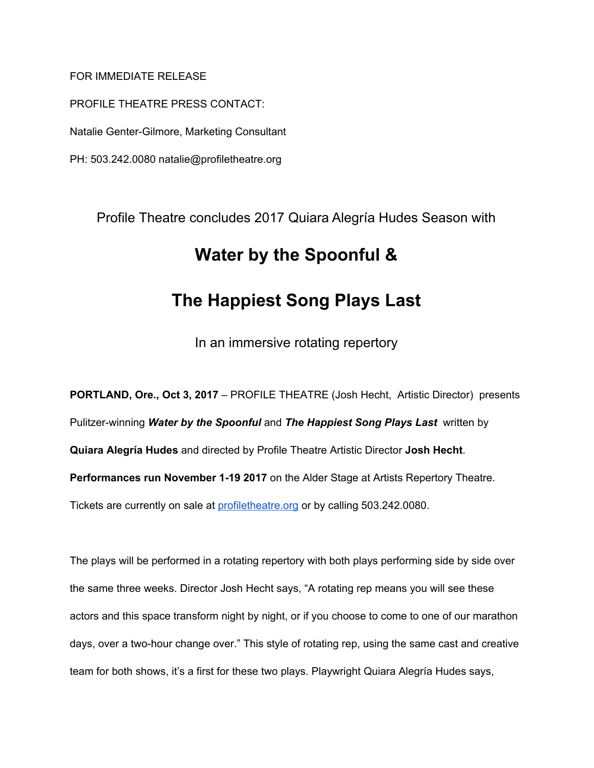# FOR IMMEDIATE RELEASE

PROFILE THEATRE PRESS CONTACT: Natalie Genter-Gilmore, Marketing Consultant PH: 503.242.0080 natalie@profiletheatre.org

> Profile Theatre concludes 2017 Quiara Alegría Hudes Season with **Water by the Spoonful & The Happiest Song Plays Last**

> > In an immersive rotating repertory

**PORTLAND, Ore., Oct 3, 2017** – PROFILE THEATRE (Josh Hecht, Artistic Director) presents Pulitzer-winning *Water by the Spoonful* and *The Happiest Song Plays Last* written by **Quiara Alegría Hudes** and directed by Profile Theatre Artistic Director **Josh Hecht**. **Performances run November 1-19 2017** on the Alder Stage at Artists Repertory Theatre. Tickets are currently on sale a[t](http://profiletheatre.org/) [profiletheatre.org](http://profiletheatre.org/) or by calling 503.242.0080.

The plays will be performed in a rotating repertory with both plays performing side by side over the same three weeks. Director Josh Hecht says, "A rotating rep means you will see these actors and this space transform night by night, or if you choose to come to one of our marathon days, over a two-hour change over." This style of rotating rep, using the same cast and creative team for both shows, it's a first for these two plays. Playwright Quiara Alegría Hudes says,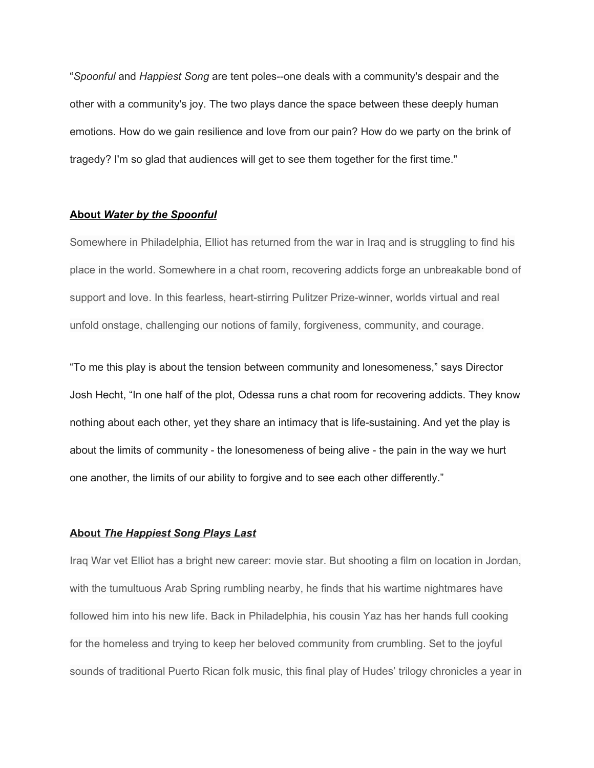"*Spoonful* and *Happiest Song* are tent poles--one deals with a community's despair and the other with a community's joy. The two plays dance the space between these deeply human emotions. How do we gain resilience and love from our pain? How do we party on the brink of tragedy? I'm so glad that audiences will get to see them together for the first time."

### **About** *Water by the Spoonful*

Somewhere in Philadelphia, Elliot has returned from the war in Iraq and is struggling to find his place in the world. Somewhere in a chat room, recovering addicts forge an unbreakable bond of support and love. In this fearless, heart-stirring Pulitzer Prize-winner, worlds virtual and real unfold onstage, challenging our notions of family, forgiveness, community, and courage.

"To me this play is about the tension between community and lonesomeness," says Director Josh Hecht, "In one half of the plot, Odessa runs a chat room for recovering addicts. They know nothing about each other, yet they share an intimacy that is life-sustaining. And yet the play is about the limits of community - the lonesomeness of being alive - the pain in the way we hurt one another, the limits of our ability to forgive and to see each other differently."

### **About** *The Happiest Song Plays Last*

Iraq War vet Elliot has a bright new career: movie star. But shooting a film on location in Jordan, with the tumultuous Arab Spring rumbling nearby, he finds that his wartime nightmares have followed him into his new life. Back in Philadelphia, his cousin Yaz has her hands full cooking for the homeless and trying to keep her beloved community from crumbling. Set to the joyful sounds of traditional Puerto Rican folk music, this final play of Hudes' trilogy chronicles a year in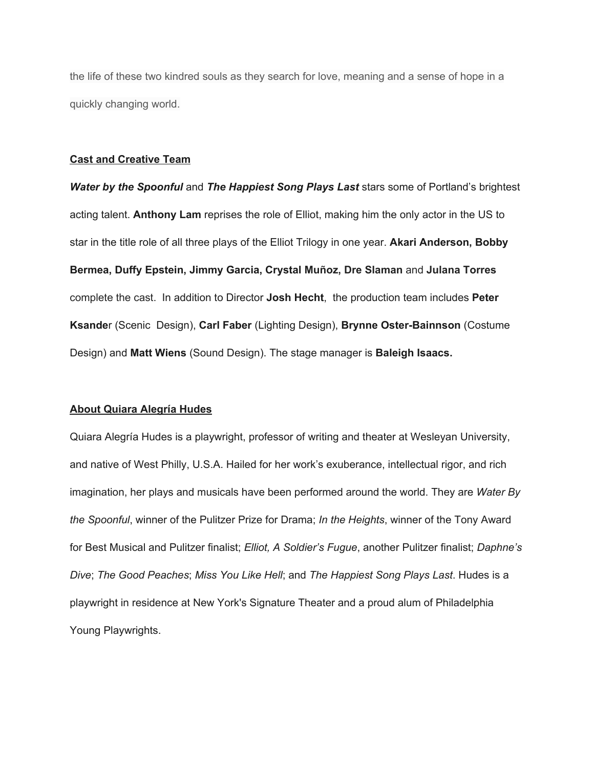the life of these two kindred souls as they search for love, meaning and a sense of hope in a quickly changing world.

### **Cast and Creative Team**

*Water by the Spoonful* and *The Happiest Song Plays Last* stars some of Portland's brightest acting talent. **Anthony Lam** reprises the role of Elliot, making him the only actor in the US to star in the title role of all three plays of the Elliot Trilogy in one year. **Akari Anderson, Bobby Bermea, Duffy Epstein, Jimmy Garcia, Crystal Muñoz, Dre Slaman** and **Julana Torres** complete the cast. In addition to Director **Josh Hecht**, the production team includes **Peter Ksande**r (Scenic Design), **Carl Faber** (Lighting Design), **Brynne Oster-Bainnson** (Costume Design) and **Matt Wiens** (Sound Design). The stage manager is **Baleigh Isaacs.**

#### **About Quiara Alegría Hudes**

Quiara Alegría Hudes is a playwright, professor of writing and theater at Wesleyan University, and native of West Philly, U.S.A. Hailed for her work's exuberance, intellectual rigor, and rich imagination, her plays and musicals have been performed around the world. They are *Water By the Spoonful*, winner of the Pulitzer Prize for Drama; *In the Heights*, winner of the Tony Award for Best Musical and Pulitzer finalist; *Elliot, A Soldier's Fugue*, another Pulitzer finalist; *Daphne's Dive*; *The Good Peaches*; *Miss You Like Hell*; and *The Happiest Song Plays Last*. Hudes is a playwright in residence at New York's Signature Theater and a proud alum of Philadelphia Young Playwrights.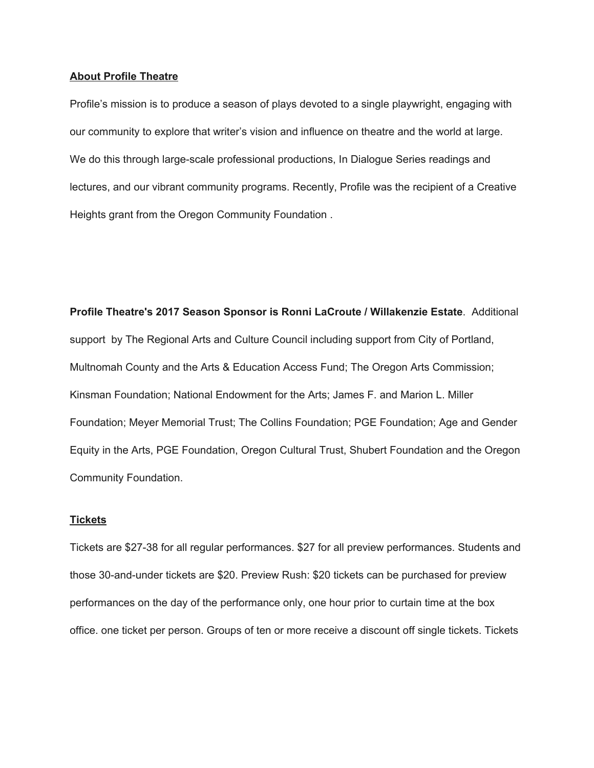### **About Profile Theatre**

Profile's mission is to produce a season of plays devoted to a single playwright, engaging with our community to explore that writer's vision and influence on theatre and the world at large. We do this through large-scale professional productions, In Dialogue Series readings and lectures, and our vibrant community programs. Recently, Profile was the recipient of a Creative Heights grant from the Oregon Community Foundation .

**Profile Theatre's 2017 Season Sponsor is Ronni LaCroute / Willakenzie Estate**. Additional support by The Regional Arts and Culture Council including support from City of Portland, Multnomah County and the Arts & Education Access Fund; The Oregon Arts Commission; Kinsman Foundation; National Endowment for the Arts; James F. and Marion L. Miller Foundation; Meyer Memorial Trust; The Collins Foundation; PGE Foundation; Age and Gender Equity in the Arts, PGE Foundation, Oregon Cultural Trust, Shubert Foundation and the Oregon Community Foundation.

### **Tickets**

Tickets are \$27-38 for all regular performances. \$27 for all preview performances. Students and those 30-and-under tickets are \$20. Preview Rush: \$20 tickets can be purchased for preview performances on the day of the performance only, one hour prior to curtain time at the box office. one ticket per person. Groups of ten or more receive a discount off single tickets. Tickets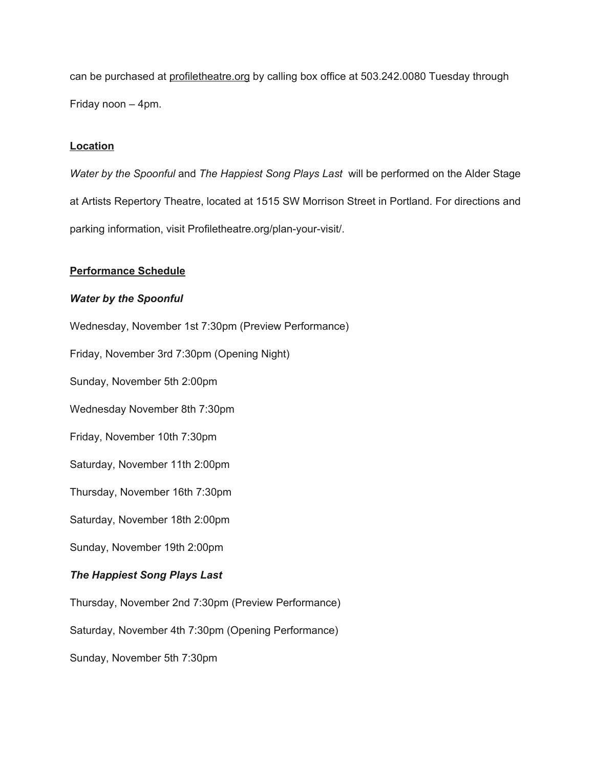can be purchased a[t](http://profiletheatre.org/) [profiletheatre.org](http://profiletheatre.org/) by calling box office at 503.242.0080 Tuesday through Friday noon – 4pm.

# **Location**

*Water by the Spoonful* and *The Happiest Song Plays Last* will be performed on the Alder Stage at Artists Repertory Theatre, located at 1515 SW Morrison Street in Portland. For directions and parking information, visit Profiletheatre.org/plan-your-visit/.

## **Performance Schedule**

## *Water by the Spoonful*

Wednesday, November 1st 7:30pm (Preview Performance)

Friday, November 3rd 7:30pm (Opening Night)

Sunday, November 5th 2:00pm

Wednesday November 8th 7:30pm

Friday, November 10th 7:30pm

Saturday, November 11th 2:00pm

Thursday, November 16th 7:30pm

Saturday, November 18th 2:00pm

Sunday, November 19th 2:00pm

## *The Happiest Song Plays Last*

Thursday, November 2nd 7:30pm (Preview Performance)

Saturday, November 4th 7:30pm (Opening Performance)

Sunday, November 5th 7:30pm